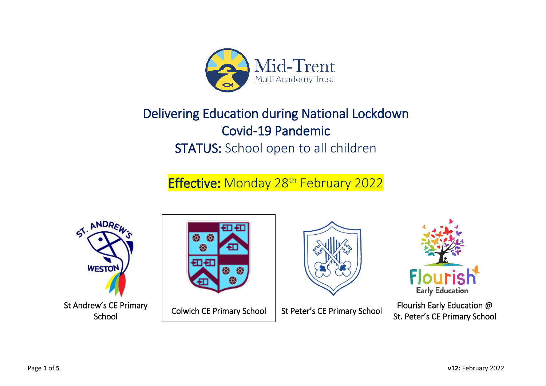

## Delivering Education during National Lockdown Covid-19 Pandemic STATUS: School open to all children

## **Effective: Monday 28th February 2022**



**School** 







Flourish Early Education @ St. Peter's CE Primary School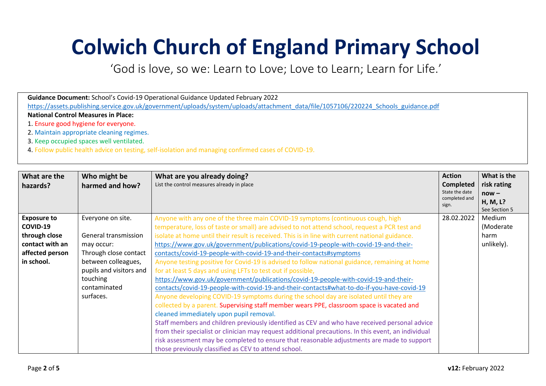# **Colwich Church of England Primary School**

'God is love, so we: Learn to Love; Love to Learn; Learn for Life.'

| Guidance Document: School's Covid-19 Operational Guidance Updated February 2022                                                     |  |  |
|-------------------------------------------------------------------------------------------------------------------------------------|--|--|
| https://assets.publishing.service.gov.uk/government/uploads/system/uploads/attachment_data/file/1057106/220224_Schools_guidance.pdf |  |  |
| <b>National Control Measures in Place:</b>                                                                                          |  |  |
| 1. Ensure good hygiene for everyone.                                                                                                |  |  |
| 2. Maintain appropriate cleaning regimes.                                                                                           |  |  |
| 3. Keep occupied spaces well ventilated.                                                                                            |  |  |
| 4. Follow public health advice on testing, self-isolation and managing confirmed cases of COVID-19.                                 |  |  |

| What are the<br>hazards? | Who might be<br>harmed and how?                                                             | <b>Action</b><br>What are you already doing?<br>List the control measures already in place<br><b>Completed</b><br>State the date<br>completed and<br>sign. |            | What is the<br>risk rating<br>$now -$<br>H, M, L?<br>See Section 5 |
|--------------------------|---------------------------------------------------------------------------------------------|------------------------------------------------------------------------------------------------------------------------------------------------------------|------------|--------------------------------------------------------------------|
| <b>Exposure to</b>       | Everyone on site.                                                                           | Anyone with any one of the three main COVID-19 symptoms (continuous cough, high                                                                            | 28.02.2022 | Medium                                                             |
| COVID-19                 |                                                                                             | temperature, loss of taste or small) are advised to not attend school, request a PCR test and                                                              |            | (Moderate                                                          |
| through close            | General transmission                                                                        | isolate at home until their result is received. This is in line with current national guidance.                                                            |            | harm                                                               |
| contact with an          | may occur:                                                                                  | https://www.gov.uk/government/publications/covid-19-people-with-covid-19-and-their-                                                                        |            | unlikely).                                                         |
| affected person          | Through close contact<br>contacts/covid-19-people-with-covid-19-and-their-contacts#symptoms |                                                                                                                                                            |            |                                                                    |
| in school.               | between colleagues,                                                                         | Anyone testing positive for Covid-19 is advised to follow national guidance, remaining at home                                                             |            |                                                                    |
|                          | pupils and visitors and                                                                     | for at least 5 days and using LFTs to test out if possible,                                                                                                |            |                                                                    |
|                          | touching                                                                                    | https://www.gov.uk/government/publications/covid-19-people-with-covid-19-and-their-                                                                        |            |                                                                    |
|                          | contaminated                                                                                | contacts/covid-19-people-with-covid-19-and-their-contacts#what-to-do-if-you-have-covid-19                                                                  |            |                                                                    |
|                          | surfaces.                                                                                   | Anyone developing COVID-19 symptoms during the school day are isolated until they are                                                                      |            |                                                                    |
|                          |                                                                                             | collected by a parent. Supervising staff member wears PPE, classroom space is vacated and                                                                  |            |                                                                    |
|                          |                                                                                             | cleaned immediately upon pupil removal.                                                                                                                    |            |                                                                    |
|                          |                                                                                             | Staff members and children previously identified as CEV and who have received personal advice                                                              |            |                                                                    |
|                          |                                                                                             | from their specialist or clinician may request additional precautions. In this event, an individual                                                        |            |                                                                    |
|                          |                                                                                             | risk assessment may be completed to ensure that reasonable adjustments are made to support                                                                 |            |                                                                    |
|                          |                                                                                             | those previously classified as CEV to attend school.                                                                                                       |            |                                                                    |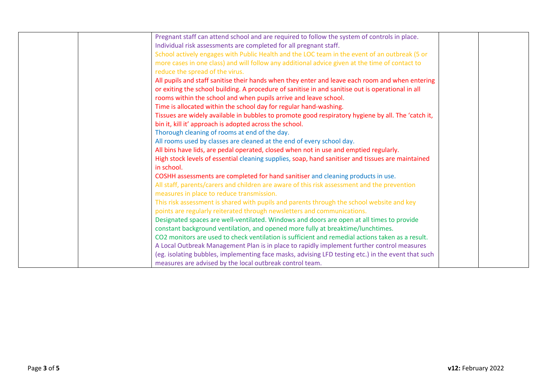| Pregnant staff can attend school and are required to follow the system of controls in place.       |  |
|----------------------------------------------------------------------------------------------------|--|
| Individual risk assessments are completed for all pregnant staff.                                  |  |
| School actively engages with Public Health and the LOC team in the event of an outbreak (5 or      |  |
| more cases in one class) and will follow any additional advice given at the time of contact to     |  |
| reduce the spread of the virus.                                                                    |  |
|                                                                                                    |  |
| All pupils and staff sanitise their hands when they enter and leave each room and when entering    |  |
| or exiting the school building. A procedure of sanitise in and sanitise out is operational in all  |  |
| rooms within the school and when pupils arrive and leave school.                                   |  |
| Time is allocated within the school day for regular hand-washing.                                  |  |
| Tissues are widely available in bubbles to promote good respiratory hygiene by all. The 'catch it, |  |
| bin it, kill it' approach is adopted across the school.                                            |  |
| Thorough cleaning of rooms at end of the day.                                                      |  |
| All rooms used by classes are cleaned at the end of every school day.                              |  |
| All bins have lids, are pedal operated, closed when not in use and emptied regularly.              |  |
| High stock levels of essential cleaning supplies, soap, hand sanitiser and tissues are maintained  |  |
| in school.                                                                                         |  |
| COSHH assessments are completed for hand sanitiser and cleaning products in use.                   |  |
| All staff, parents/carers and children are aware of this risk assessment and the prevention        |  |
| measures in place to reduce transmission.                                                          |  |
| This risk assessment is shared with pupils and parents through the school website and key          |  |
| points are regularly reiterated through newsletters and communications.                            |  |
| Designated spaces are well-ventilated. Windows and doors are open at all times to provide          |  |
| constant background ventilation, and opened more fully at breaktime/lunchtimes.                    |  |
| CO2 monitors are used to check ventilation is sufficient and remedial actions taken as a result.   |  |
|                                                                                                    |  |
| A Local Outbreak Management Plan is in place to rapidly implement further control measures         |  |
| (eg. isolating bubbles, implementing face masks, advising LFD testing etc.) in the event that such |  |
| measures are advised by the local outbreak control team.                                           |  |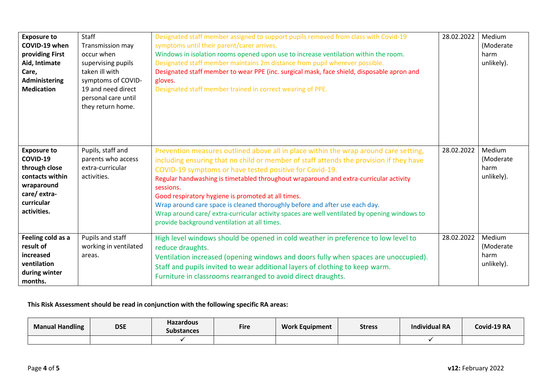| <b>Exposure to</b><br>COVID-19 when<br>providing First<br>Aid, Intimate<br>Care,<br>Administering<br><b>Medication</b>       | Staff<br>Transmission may<br>occur when<br>supervising pupils<br>taken ill with<br>symptoms of COVID-<br>19 and need direct<br>personal care until<br>they return home. | Designated staff member assigned to support pupils removed from class with Covid-19<br>symptoms until their parent/carer arrives.<br>Windows in isolation rooms opened upon use to increase ventilation within the room.<br>Designated staff member maintains 2m distance from pupil wherever possible.<br>Designated staff member to wear PPE (inc. surgical mask, face shield, disposable apron and<br>gloves.<br>Designated staff member trained in correct wearing of PPE.                                                                                                                                                      | 28.02.2022 | Medium<br>(Moderate<br>harm<br>unlikely). |
|------------------------------------------------------------------------------------------------------------------------------|-------------------------------------------------------------------------------------------------------------------------------------------------------------------------|-------------------------------------------------------------------------------------------------------------------------------------------------------------------------------------------------------------------------------------------------------------------------------------------------------------------------------------------------------------------------------------------------------------------------------------------------------------------------------------------------------------------------------------------------------------------------------------------------------------------------------------|------------|-------------------------------------------|
| <b>Exposure to</b><br>COVID-19<br>through close<br>contacts within<br>wraparound<br>care/extra-<br>curricular<br>activities. | Pupils, staff and<br>parents who access<br>extra-curricular<br>activities.                                                                                              | Prevention measures outlined above all in place within the wrap around care setting,<br>including ensuring that no child or member of staff attends the provision if they have<br>COVID-19 symptoms or have tested positive for Covid-19.<br>Regular handwashing is timetabled throughout wraparound and extra-curricular activity<br>sessions.<br>Good respiratory hygiene is promoted at all times.<br>Wrap around care space is cleaned thoroughly before and after use each day.<br>Wrap around care/extra-curricular activity spaces are well ventilated by opening windows to<br>provide background ventilation at all times. | 28.02.2022 | Medium<br>(Moderate<br>harm<br>unlikely). |
| Feeling cold as a<br>result of<br>increased<br>ventilation<br>during winter<br>months.                                       | Pupils and staff<br>working in ventilated<br>areas.                                                                                                                     | High level windows should be opened in cold weather in preference to low level to<br>reduce draughts.<br>Ventilation increased (opening windows and doors fully when spaces are unoccupied).<br>Staff and pupils invited to wear additional layers of clothing to keep warm.<br>Furniture in classrooms rearranged to avoid direct draughts.                                                                                                                                                                                                                                                                                        | 28.02.2022 | Medium<br>(Moderate<br>harm<br>unlikely). |

#### **This Risk Assessment should be read in conjunction with the following specific RA areas:**

| <b>Manual Handling</b> | <b>DSE</b> | <b>Hazardous</b><br>Substances | <b>Fire</b> | <b>Work Equipment</b> | <b>Stress</b> | <b>Individual RA</b> | Covid-19 RA |
|------------------------|------------|--------------------------------|-------------|-----------------------|---------------|----------------------|-------------|
|                        |            |                                |             |                       |               |                      |             |